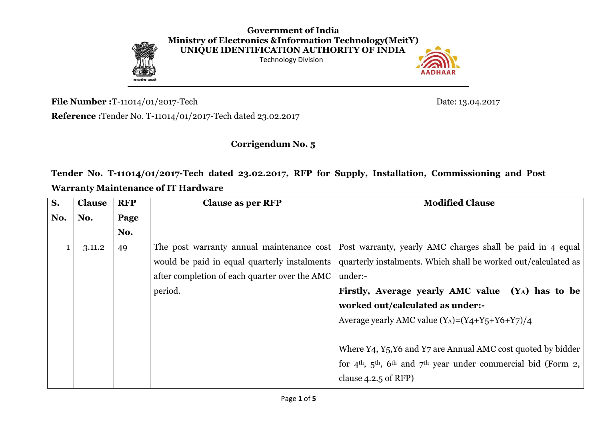

**Government of India Ministry of Electronics &Information Technology(MeitY) UNIQUE IDENTIFICATION AUTHORITY OF INDIA**  Technology Division



**File Number :**T-11014/01/2017-Tech Date: 13.04.2017

**Reference :**Tender No. T-11014/01/2017-Tech dated 23.02.2017

**Corrigendum No. 5**

**Tender No. T-11014/01/2017-Tech dated 23.02.2017, RFP for Supply, Installation, Commissioning and Post Warranty Maintenance of IT Hardware**

| S.  | <b>Clause</b> | <b>RFP</b> | <b>Clause as per RFP</b>                      | <b>Modified Clause</b>                                                 |  |  |  |
|-----|---------------|------------|-----------------------------------------------|------------------------------------------------------------------------|--|--|--|
| No. | No.           | Page       |                                               |                                                                        |  |  |  |
|     |               | No.        |                                               |                                                                        |  |  |  |
|     | 3.11.2        | 49         | The post warranty annual maintenance cost     | Post warranty, yearly AMC charges shall be paid in 4 equal             |  |  |  |
|     |               |            | would be paid in equal quarterly instalments  | quarterly instalments. Which shall be worked out/calculated as         |  |  |  |
|     |               |            | after completion of each quarter over the AMC | under:-                                                                |  |  |  |
|     |               |            | period.                                       | Firstly, Average yearly AMC value $(Y_A)$ has to be                    |  |  |  |
|     |               |            |                                               | worked out/calculated as under:-                                       |  |  |  |
|     |               |            |                                               | Average yearly AMC value $(Y_A)=(Y_4+Y_5+Y_6+Y_7)/4$                   |  |  |  |
|     |               |            |                                               |                                                                        |  |  |  |
|     |               |            |                                               | Where Y4, Y5, Y6 and Y7 are Annual AMC cost quoted by bidder           |  |  |  |
|     |               |            |                                               | for $4th$ , $5th$ , $6th$ and $7th$ year under commercial bid (Form 2, |  |  |  |
|     |               |            |                                               | clause $4.2.5$ of RFP)                                                 |  |  |  |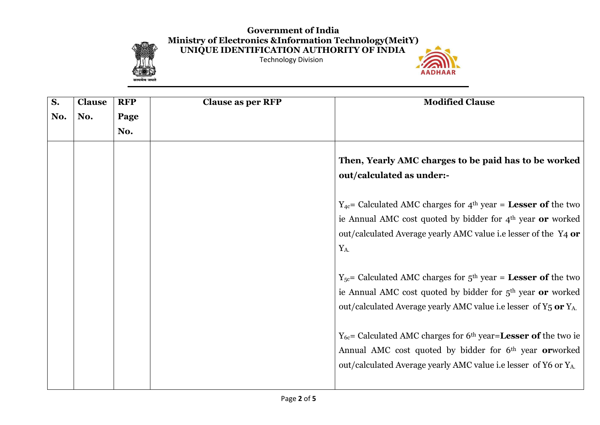## **Government of India Ministry of Electronics &Information Technology(MeitY) UNIQUE IDENTIFICATION AUTHORITY OF INDIA**



Technology Division



| S.  | <b>Clause</b> | <b>RFP</b> | <b>Clause as per RFP</b> | <b>Modified Clause</b>                                                                   |
|-----|---------------|------------|--------------------------|------------------------------------------------------------------------------------------|
| No. | No.           | Page       |                          |                                                                                          |
|     |               | No.        |                          |                                                                                          |
|     |               |            |                          | Then, Yearly AMC charges to be paid has to be worked<br>out/calculated as under:-        |
|     |               |            |                          | $Y_{4c}$ Calculated AMC charges for 4 <sup>th</sup> year = <b>Lesser of</b> the two      |
|     |               |            |                          | ie Annual AMC cost quoted by bidder for $4th$ year or worked                             |
|     |               |            |                          | out/calculated Average yearly AMC value i.e lesser of the Y4 or                          |
|     |               |            |                          | $Y_A$                                                                                    |
|     |               |            |                          | $Y_{5c}$ Calculated AMC charges for $5th$ year = <b>Lesser of</b> the two                |
|     |               |            |                          | ie Annual AMC cost quoted by bidder for 5 <sup>th</sup> year or worked                   |
|     |               |            |                          | out/calculated Average yearly AMC value i.e lesser of Y <sub>5</sub> or Y <sub>A</sub> . |
|     |               |            |                          | $Y_{6c}$ Calculated AMC charges for 6 <sup>th</sup> year= <b>Lesser of</b> the two ie    |
|     |               |            |                          | Annual AMC cost quoted by bidder for 6 <sup>th</sup> year <b>or</b> worked               |
|     |               |            |                          | out/calculated Average yearly AMC value i.e lesser of Y6 or Y <sub>A</sub> .             |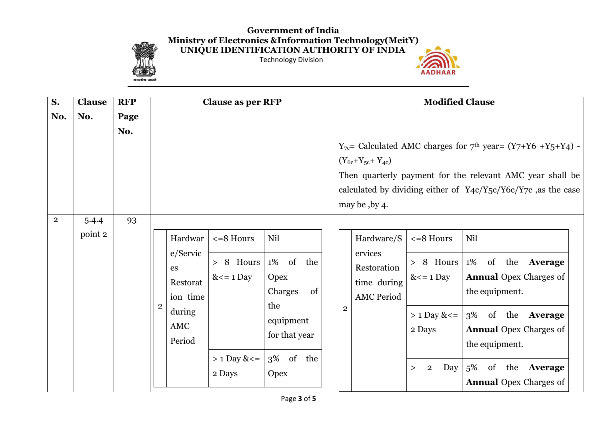## **Government of India Ministry of Electronics &Information Technology(MeitY) UNIQUE IDENTIFICATION AUTHORITY OF INDIA**



Technology Division



| $\overline{\mathbf{S}}$ . | <b>Clause</b>    | <b>RFP</b> |                                                       | <b>Clause as per RFP</b>                        |                                                                         | <b>Modified Clause</b> |                                                     |                                                                  |                                                                                                                                                                                                                     |
|---------------------------|------------------|------------|-------------------------------------------------------|-------------------------------------------------|-------------------------------------------------------------------------|------------------------|-----------------------------------------------------|------------------------------------------------------------------|---------------------------------------------------------------------------------------------------------------------------------------------------------------------------------------------------------------------|
| No.                       | No.              | Page       |                                                       |                                                 |                                                                         |                        |                                                     |                                                                  |                                                                                                                                                                                                                     |
|                           |                  | No.        |                                                       |                                                 |                                                                         |                        |                                                     |                                                                  |                                                                                                                                                                                                                     |
|                           |                  |            |                                                       |                                                 |                                                                         |                        | $(Y_{6c}+Y_{5c}+Y_{4c})$<br>may be , by 4.          |                                                                  | $Y_{7c}$ Calculated AMC charges for 7 <sup>th</sup> year = $(Y7+Y6 + Y5+Y4)$ -<br>Then quarterly payment for the relevant AMC year shall be<br>calculated by dividing either of $Y_4c/Y_5c/Y_6c/Y_7c$ , as the case |
| $\overline{2}$            | 5.4.4<br>point 2 | 93         | Hardwar<br>e/Servic<br>es<br>Restorat                 | $\epsilon = 8$ Hours<br>> 8 Hours<br>$<= 1$ Day | Nil<br>1% of the<br><b>Opex</b>                                         |                        | Hardware/S<br>ervices<br>Restoration<br>time during | $\epsilon = 8$ Hours<br>> 8 Hours<br>$<= 1$ Day                  | Nil<br>1% of the <b>Average</b><br><b>Annual Opex Charges of</b>                                                                                                                                                    |
|                           |                  |            | ion time<br>$\overline{2}$<br>during<br>AMC<br>Period | $> 1$ Day & $\le$ =<br>2 Days                   | Charges<br>of<br>the<br>equipment<br>for that year<br>3% of the<br>Opex | $\overline{2}$         | <b>AMC Period</b>                                   | $> 1$ Day & $\le$ =<br>2 Days<br>Day<br>$\overline{2}$<br>$\geq$ | the equipment.<br>3% of the Average<br><b>Annual Opex Charges of</b><br>the equipment.<br>$5\%$<br>of the <b>Average</b><br><b>Annual Opex Charges of</b>                                                           |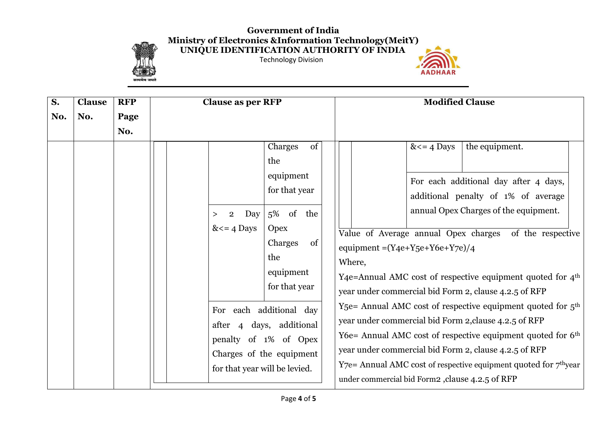## **Government of India Ministry of Electronics &Information Technology(MeitY) UNIQUE IDENTIFICATION AUTHORITY OF INDIA**



Technology Division



| $\overline{\mathbf{S}}$ . | <b>Clause</b> | <b>RFP</b> | <b>Clause as per RFP</b>           |                                                                                                                   | <b>Modified Clause</b>                                                                                                                                                                                           |  |  |  |
|---------------------------|---------------|------------|------------------------------------|-------------------------------------------------------------------------------------------------------------------|------------------------------------------------------------------------------------------------------------------------------------------------------------------------------------------------------------------|--|--|--|
| No.                       | No.           | Page       |                                    |                                                                                                                   |                                                                                                                                                                                                                  |  |  |  |
|                           |               | No.        |                                    |                                                                                                                   |                                                                                                                                                                                                                  |  |  |  |
|                           |               |            | $\overline{2}$<br>><br>$<=$ 4 Days | of<br>Charges<br>the<br>equipment<br>for that year<br>5% of the<br>Day<br><b>Opex</b><br>Charges<br><sub>of</sub> | the equipment.<br>$<=$ 4 Days<br>For each additional day after 4 days,<br>additional penalty of 1% of average<br>annual Opex Charges of the equipment.<br>Value of Average annual Opex charges of the respective |  |  |  |
|                           |               |            |                                    | the                                                                                                               | equipment = $(Y_4e+Y_5e+Y_6e+Y_7e)/4$<br>Where,                                                                                                                                                                  |  |  |  |
|                           |               |            |                                    | equipment                                                                                                         | Y4e=Annual AMC cost of respective equipment quoted for 4 <sup>th</sup>                                                                                                                                           |  |  |  |
|                           |               |            |                                    | for that year                                                                                                     | year under commercial bid Form 2, clause 4.2.5 of RFP                                                                                                                                                            |  |  |  |
|                           |               |            |                                    | For each additional day<br>after 4 days, additional                                                               | Y <sub>5</sub> e= Annual AMC cost of respective equipment quoted for $5th$<br>year under commercial bid Form 2, clause 4.2.5 of RFP<br>Y6e= Annual AMC cost of respective equipment quoted for 6 <sup>th</sup>   |  |  |  |
|                           |               |            |                                    | penalty of 1% of Opex                                                                                             | year under commercial bid Form 2, clause 4.2.5 of RFP                                                                                                                                                            |  |  |  |
|                           |               |            |                                    | Charges of the equipment<br>for that year will be levied.                                                         | $Y$ 7e = Annual AMC cost of respective equipment quoted for $7th$ year<br>under commercial bid Form2, clause 4.2.5 of RFP                                                                                        |  |  |  |